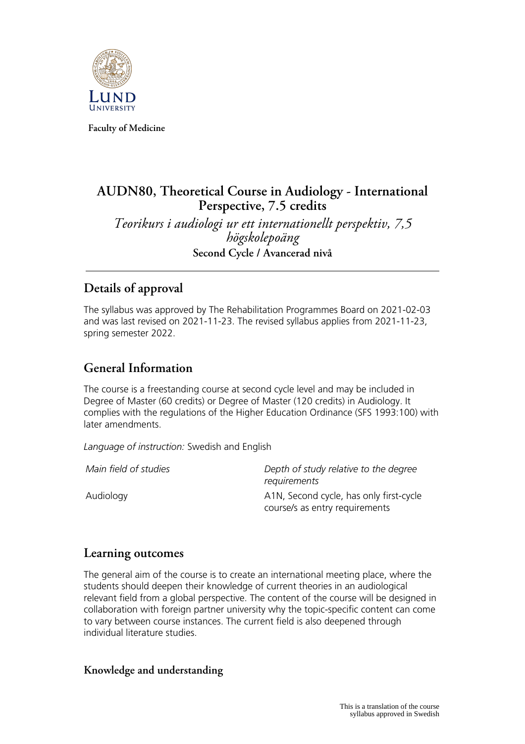

**Faculty of Medicine**

# **AUDN80, Theoretical Course in Audiology - International Perspective, 7.5 credits**

*Teorikurs i audiologi ur ett internationellt perspektiv, 7,5 högskolepoäng* **Second Cycle / Avancerad nivå**

# **Details of approval**

The syllabus was approved by The Rehabilitation Programmes Board on 2021-02-03 and was last revised on 2021-11-23. The revised syllabus applies from 2021-11-23, spring semester 2022.

# **General Information**

The course is a freestanding course at second cycle level and may be included in Degree of Master (60 credits) or Degree of Master (120 credits) in Audiology. It complies with the regulations of the Higher Education Ordinance (SFS 1993:100) with later amendments.

*Language of instruction:* Swedish and English

*Main field of studies Depth of study relative to the degree requirements* Audiology A1N, Second cycle, has only first-cycle course/s as entry requirements

# **Learning outcomes**

The general aim of the course is to create an international meeting place, where the students should deepen their knowledge of current theories in an audiological relevant field from a global perspective. The content of the course will be designed in collaboration with foreign partner university why the topic-specific content can come to vary between course instances. The current field is also deepened through individual literature studies.

#### **Knowledge and understanding**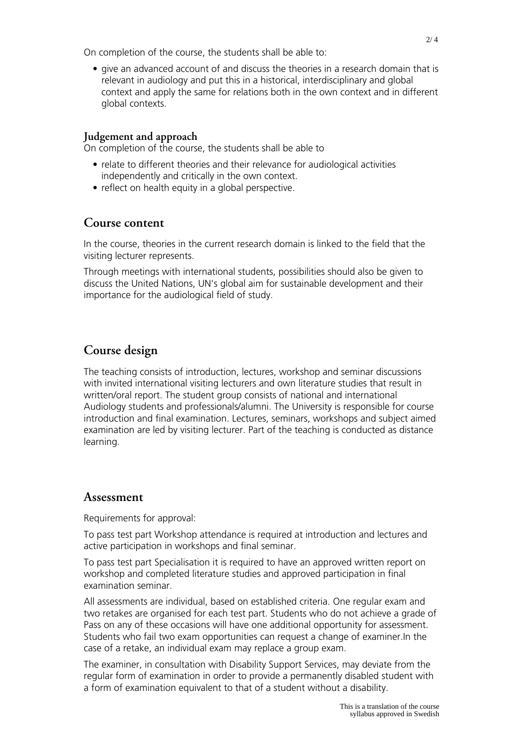On completion of the course, the students shall be able to:

• give an advanced account of and discuss the theories in a research domain that is relevant in audiology and put this in a historical, interdisciplinary and global context and apply the same for relations both in the own context and in different global contexts.

#### **Judgement and approach**

On completion of the course, the students shall be able to

- relate to different theories and their relevance for audiological activities independently and critically in the own context.
- reflect on health equity in a global perspective.

#### **Course content**

In the course, theories in the current research domain is linked to the field that the visiting lecturer represents.

Through meetings with international students, possibilities should also be given to discuss the United Nations, UN's global aim for sustainable development and their importance for the audiological field of study.

# **Course design**

The teaching consists of introduction, lectures, workshop and seminar discussions with invited international visiting lecturers and own literature studies that result in written/oral report. The student group consists of national and international Audiology students and professionals/alumni. The University is responsible for course introduction and final examination. Lectures, seminars, workshops and subject aimed examination are led by visiting lecturer. Part of the teaching is conducted as distance learning.

#### **Assessment**

Requirements for approval:

To pass test part Workshop attendance is required at introduction and lectures and active participation in workshops and final seminar.

To pass test part Specialisation it is required to have an approved written report on workshop and completed literature studies and approved participation in final examination seminar.

All assessments are individual, based on established criteria. One regular exam and two retakes are organised for each test part. Students who do not achieve a grade of Pass on any of these occasions will have one additional opportunity for assessment. Students who fail two exam opportunities can request a change of examiner.In the case of a retake, an individual exam may replace a group exam.

The examiner, in consultation with Disability Support Services, may deviate from the regular form of examination in order to provide a permanently disabled student with a form of examination equivalent to that of a student without a disability.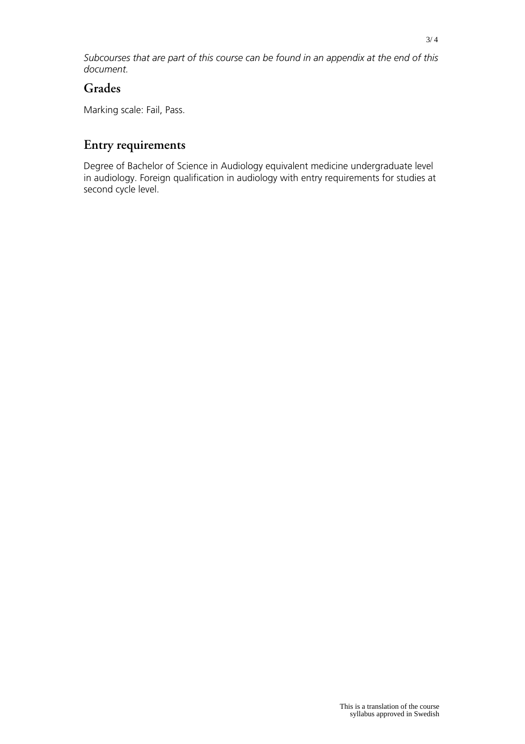*Subcourses that are part of this course can be found in an appendix at the end of this document.*

#### **Grades**

Marking scale: Fail, Pass.

# **Entry requirements**

Degree of Bachelor of Science in Audiology equivalent medicine undergraduate level in audiology. Foreign qualification in audiology with entry requirements for studies at second cycle level.